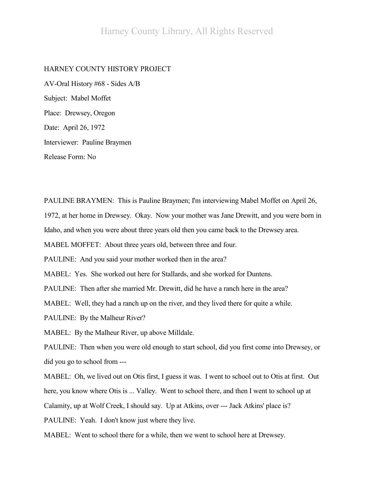## HARNEY COUNTY HISTORY PROJECT

AV-Oral History #68 - Sides A/B Subject: Mabel Moffet Place: Drewsey, Oregon Date: April 26, 1972 Interviewer: Pauline Braymen Release Form: No

PAULINE BRAYMEN: This is Pauline Braymen; I'm interviewing Mabel Moffet on April 26, 1972, at her home in Drewsey. Okay. Now your mother was Jane Drewitt, and you were born in Idaho, and when you were about three years old then you came back to the Drewsey area. MABEL MOFFET: About three years old, between three and four. PAULINE: And you said your mother worked then in the area? MABEL: Yes. She worked out here for Stallards, and she worked for Duntens. PAULINE: Then after she married Mr. Drewitt, did he have a ranch here in the area? MABEL: Well, they had a ranch up on the river, and they lived there for quite a while. PAULINE: By the Malheur River? MABEL: By the Malheur River, up above Milldale. PAULINE: Then when you were old enough to start school, did you first come into Drewsey, or did you go to school from --- MABEL: Oh, we lived out on Otis first, I guess it was. I went to school out to Otis at first. Out here, you know where Otis is ... Valley. Went to school there, and then I went to school up at Calamity, up at Wolf Creek, I should say. Up at Atkins, over --- Jack Atkins' place is? PAULINE: Yeah. I don't know just where they live. MABEL: Went to school there for a while, then we went to school here at Drewsey.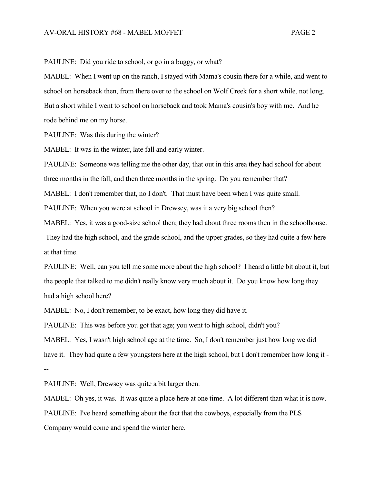PAULINE: Did you ride to school, or go in a buggy, or what?

MABEL: When I went up on the ranch, I stayed with Mama's cousin there for a while, and went to school on horseback then, from there over to the school on Wolf Creek for a short while, not long. But a short while I went to school on horseback and took Mama's cousin's boy with me. And he rode behind me on my horse.

PAULINE: Was this during the winter?

MABEL: It was in the winter, late fall and early winter.

PAULINE: Someone was telling me the other day, that out in this area they had school for about three months in the fall, and then three months in the spring. Do you remember that?

MABEL: I don't remember that, no I don't. That must have been when I was quite small.

PAULINE: When you were at school in Drewsey, was it a very big school then?

MABEL: Yes, it was a good-size school then; they had about three rooms then in the schoolhouse.

They had the high school, and the grade school, and the upper grades, so they had quite a few here at that time.

PAULINE: Well, can you tell me some more about the high school? I heard a little bit about it, but the people that talked to me didn't really know very much about it. Do you know how long they had a high school here?

MABEL: No, I don't remember, to be exact, how long they did have it.

PAULINE: This was before you got that age; you went to high school, didn't you?

MABEL: Yes, I wasn't high school age at the time. So, I don't remember just how long we did have it. They had quite a few youngsters here at the high school, but I don't remember how long it - --

PAULINE: Well, Drewsey was quite a bit larger then.

MABEL: Oh yes, it was. It was quite a place here at one time. A lot different than what it is now. PAULINE: I've heard something about the fact that the cowboys, especially from the PLS Company would come and spend the winter here.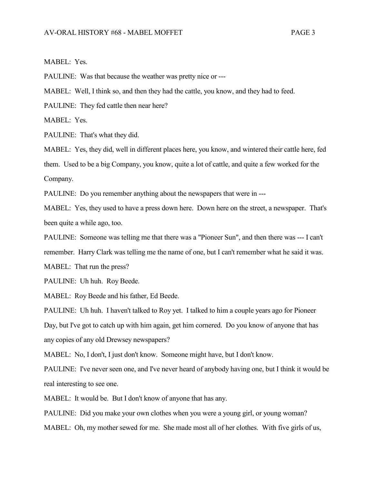## MABEL: Yes.

PAULINE: Was that because the weather was pretty nice or ---

MABEL: Well, I think so, and then they had the cattle, you know, and they had to feed.

PAULINE: They fed cattle then near here?

MABEL: Yes.

PAULINE: That's what they did.

MABEL: Yes, they did, well in different places here, you know, and wintered their cattle here, fed them. Used to be a big Company, you know, quite a lot of cattle, and quite a few worked for the Company.

PAULINE: Do you remember anything about the newspapers that were in ---

MABEL: Yes, they used to have a press down here. Down here on the street, a newspaper. That's been quite a while ago, too.

PAULINE: Someone was telling me that there was a "Pioneer Sun", and then there was --- I can't remember. Harry Clark was telling me the name of one, but I can't remember what he said it was. MABEL: That run the press?

PAULINE: Uh huh. Roy Beede.

MABEL: Roy Beede and his father, Ed Beede.

PAULINE: Uh huh. I haven't talked to Roy yet. I talked to him a couple years ago for Pioneer Day, but I've got to catch up with him again, get him cornered. Do you know of anyone that has any copies of any old Drewsey newspapers?

MABEL: No, I don't, I just don't know. Someone might have, but I don't know.

PAULINE: I've never seen one, and I've never heard of anybody having one, but I think it would be real interesting to see one.

MABEL: It would be. But I don't know of anyone that has any.

PAULINE: Did you make your own clothes when you were a young girl, or young woman?

MABEL: Oh, my mother sewed for me. She made most all of her clothes. With five girls of us,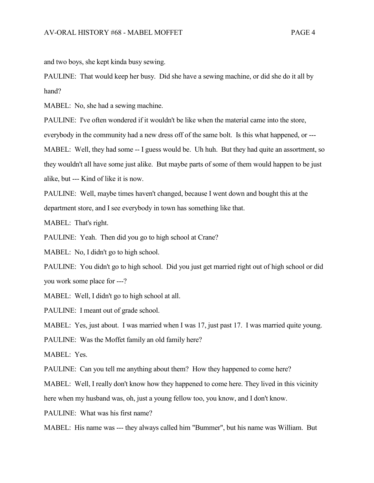and two boys, she kept kinda busy sewing.

PAULINE: That would keep her busy. Did she have a sewing machine, or did she do it all by hand?

MABEL: No, she had a sewing machine.

PAULINE: I've often wondered if it wouldn't be like when the material came into the store, everybody in the community had a new dress off of the same bolt. Is this what happened, or --- MABEL: Well, they had some -- I guess would be. Uh huh. But they had quite an assortment, so they wouldn't all have some just alike. But maybe parts of some of them would happen to be just alike, but --- Kind of like it is now.

PAULINE: Well, maybe times haven't changed, because I went down and bought this at the department store, and I see everybody in town has something like that.

MABEL: That's right.

PAULINE: Yeah. Then did you go to high school at Crane?

MABEL: No, I didn't go to high school.

PAULINE: You didn't go to high school. Did you just get married right out of high school or did you work some place for ---?

MABEL: Well, I didn't go to high school at all.

PAULINE: I meant out of grade school.

MABEL: Yes, just about. I was married when I was 17, just past 17. I was married quite young.

PAULINE: Was the Moffet family an old family here?

MABEL: Yes.

PAULINE: Can you tell me anything about them? How they happened to come here?

MABEL: Well, I really don't know how they happened to come here. They lived in this vicinity

here when my husband was, oh, just a young fellow too, you know, and I don't know.

PAULINE: What was his first name?

MABEL: His name was --- they always called him "Bummer", but his name was William. But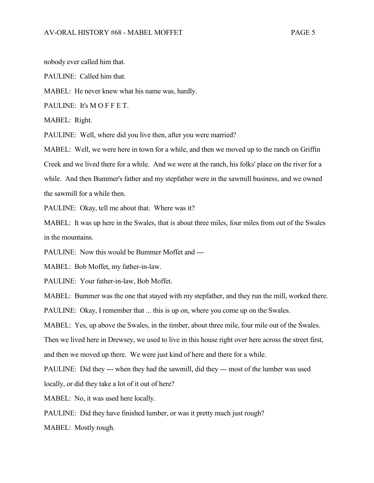nobody ever called him that.

PAULINE: Called him that.

MABEL: He never knew what his name was, hardly.

PAULINE: It's MOFFET.

MABEL: Right.

PAULINE: Well, where did you live then, after you were married?

MABEL: Well, we were here in town for a while, and then we moved up to the ranch on Griffin Creek and we lived there for a while. And we were at the ranch, his folks' place on the river for a while. And then Bummer's father and my stepfather were in the sawmill business, and we owned the sawmill for a while then.

PAULINE: Okay, tell me about that. Where was it?

MABEL: It was up here in the Swales, that is about three miles, four miles from out of the Swales in the mountains.

PAULINE: Now this would be Bummer Moffet and ---

MABEL: Bob Moffet, my father-in-law.

PAULINE: Your father-in-law, Bob Moffet.

MABEL: Bummer was the one that stayed with my stepfather, and they run the mill, worked there.

PAULINE: Okay, I remember that ... this is up on, where you come up on the Swales.

MABEL: Yes, up above the Swales, in the timber, about three mile, four mile out of the Swales.

Then we lived here in Drewsey, we used to live in this house right over here across the street first,

and then we moved up there. We were just kind of here and there for a while.

PAULINE: Did they --- when they had the sawmill, did they --- most of the lumber was used

locally, or did they take a lot of it out of here?

MABEL: No, it was used here locally.

PAULINE: Did they have finished lumber, or was it pretty much just rough?

MABEL: Mostly rough.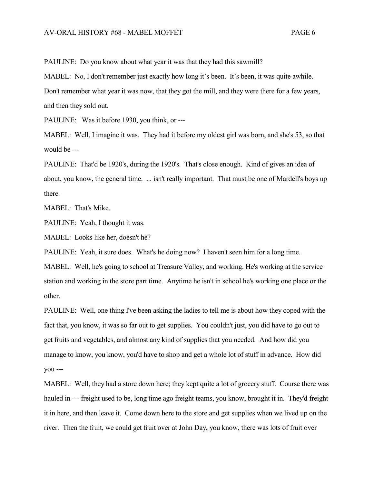PAULINE: Do you know about what year it was that they had this sawmill?

MABEL: No, I don't remember just exactly how long it's been. It's been, it was quite awhile. Don't remember what year it was now, that they got the mill, and they were there for a few years, and then they sold out.

PAULINE: Was it before 1930, you think, or ---

MABEL: Well, I imagine it was. They had it before my oldest girl was born, and she's 53, so that would be ---

PAULINE: That'd be 1920's, during the 1920's. That's close enough. Kind of gives an idea of about, you know, the general time. ... isn't really important. That must be one of Mardell's boys up there.

MABEL: That's Mike.

PAULINE: Yeah, I thought it was.

MABEL: Looks like her, doesn't he?

PAULINE: Yeah, it sure does. What's he doing now? I haven't seen him for a long time.

MABEL: Well, he's going to school at Treasure Valley, and working. He's working at the service station and working in the store part time. Anytime he isn't in school he's working one place or the other.

PAULINE: Well, one thing I've been asking the ladies to tell me is about how they coped with the fact that, you know, it was so far out to get supplies. You couldn't just, you did have to go out to get fruits and vegetables, and almost any kind of supplies that you needed. And how did you manage to know, you know, you'd have to shop and get a whole lot of stuff in advance. How did you ---

MABEL: Well, they had a store down here; they kept quite a lot of grocery stuff. Course there was hauled in --- freight used to be, long time ago freight teams, you know, brought it in. They'd freight it in here, and then leave it. Come down here to the store and get supplies when we lived up on the river. Then the fruit, we could get fruit over at John Day, you know, there was lots of fruit over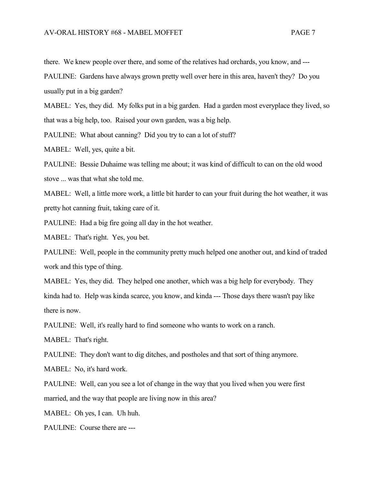there. We knew people over there, and some of the relatives had orchards, you know, and ---

PAULINE: Gardens have always grown pretty well over here in this area, haven't they? Do you usually put in a big garden?

MABEL: Yes, they did. My folks put in a big garden. Had a garden most everyplace they lived, so that was a big help, too. Raised your own garden, was a big help.

PAULINE: What about canning? Did you try to can a lot of stuff?

MABEL: Well, yes, quite a bit.

PAULINE: Bessie Duhaime was telling me about; it was kind of difficult to can on the old wood stove ... was that what she told me.

MABEL: Well, a little more work, a little bit harder to can your fruit during the hot weather, it was pretty hot canning fruit, taking care of it.

PAULINE: Had a big fire going all day in the hot weather.

MABEL: That's right. Yes, you bet.

PAULINE: Well, people in the community pretty much helped one another out, and kind of traded work and this type of thing.

MABEL: Yes, they did. They helped one another, which was a big help for everybody. They kinda had to. Help was kinda scarce, you know, and kinda --- Those days there wasn't pay like there is now.

PAULINE: Well, it's really hard to find someone who wants to work on a ranch.

MABEL: That's right.

PAULINE: They don't want to dig ditches, and postholes and that sort of thing anymore.

MABEL: No, it's hard work.

PAULINE: Well, can you see a lot of change in the way that you lived when you were first married, and the way that people are living now in this area?

MABEL: Oh yes, I can. Uh huh.

PAULINE: Course there are ---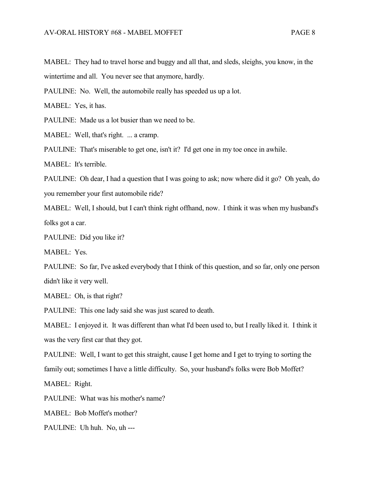MABEL: They had to travel horse and buggy and all that, and sleds, sleighs, you know, in the wintertime and all. You never see that anymore, hardly.

PAULINE: No. Well, the automobile really has speeded us up a lot.

MABEL: Yes, it has.

PAULINE: Made us a lot busier than we need to be.

MABEL: Well, that's right. ... a cramp.

PAULINE: That's miserable to get one, isn't it? I'd get one in my toe once in awhile.

MABEL: It's terrible.

PAULINE: Oh dear, I had a question that I was going to ask; now where did it go? Oh yeah, do you remember your first automobile ride?

MABEL: Well, I should, but I can't think right offhand, now. I think it was when my husband's folks got a car.

PAULINE: Did you like it?

MABEL: Yes.

PAULINE: So far, I've asked everybody that I think of this question, and so far, only one person didn't like it very well.

MABEL: Oh, is that right?

PAULINE: This one lady said she was just scared to death.

MABEL: I enjoyed it. It was different than what I'd been used to, but I really liked it. I think it was the very first car that they got.

PAULINE: Well, I want to get this straight, cause I get home and I get to trying to sorting the family out; sometimes I have a little difficulty. So, your husband's folks were Bob Moffet?

MABEL: Right.

PAULINE: What was his mother's name?

MABEL: Bob Moffet's mother?

PAULINE: Uh huh. No, uh ---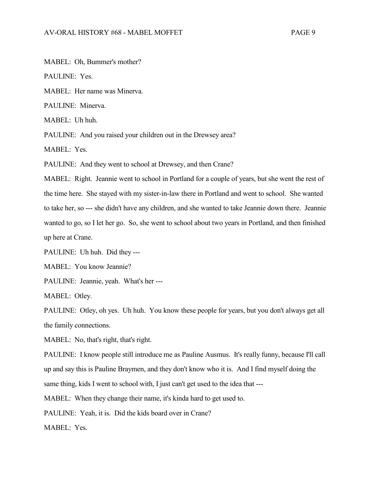MABEL: Oh, Bummer's mother?

PAULINE: Yes.

MABEL: Her name was Minerva.

PAULINE: Minerva.

MABEL: Uh huh.

PAULINE: And you raised your children out in the Drewsey area?

MABEL: Yes.

PAULINE: And they went to school at Drewsey, and then Crane?

MABEL: Right. Jeannie went to school in Portland for a couple of years, but she went the rest of the time here. She stayed with my sister-in-law there in Portland and went to school. She wanted to take her, so --- she didn't have any children, and she wanted to take Jeannie down there. Jeannie wanted to go, so I let her go. So, she went to school about two years in Portland, and then finished up here at Crane.

PAULINE: Uh huh. Did they ---

MABEL: You know Jeannie?

PAULINE: Jeannie, yeah. What's her ---

MABEL: Otley.

PAULINE: Otley, oh yes. Uh huh. You know these people for years, but you don't always get all the family connections.

MABEL: No, that's right, that's right.

PAULINE: I know people still introduce me as Pauline Ausmus. It's really funny, because I'll call up and say this is Pauline Braymen, and they don't know who it is. And I find myself doing the same thing, kids I went to school with, I just can't get used to the idea that ---

MABEL: When they change their name, it's kinda hard to get used to.

PAULINE: Yeah, it is. Did the kids board over in Crane?

MABEL: Yes.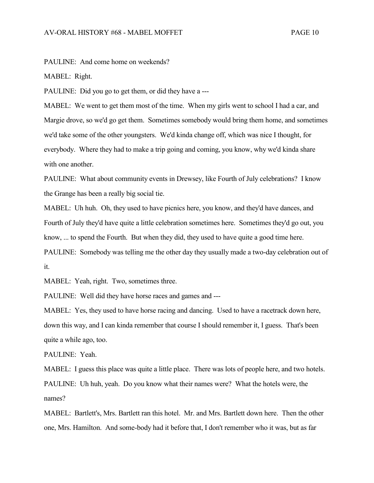PAULINE: And come home on weekends?

MABEL: Right.

PAULINE: Did you go to get them, or did they have a ---

MABEL: We went to get them most of the time. When my girls went to school I had a car, and Margie drove, so we'd go get them. Sometimes somebody would bring them home, and sometimes we'd take some of the other youngsters. We'd kinda change off, which was nice I thought, for everybody. Where they had to make a trip going and coming, you know, why we'd kinda share with one another.

PAULINE: What about community events in Drewsey, like Fourth of July celebrations? I know the Grange has been a really big social tie.

MABEL: Uh huh. Oh, they used to have picnics here, you know, and they'd have dances, and Fourth of July they'd have quite a little celebration sometimes here. Sometimes they'd go out, you know, ... to spend the Fourth. But when they did, they used to have quite a good time here. PAULINE: Somebody was telling me the other day they usually made a two-day celebration out of it.

MABEL: Yeah, right. Two, sometimes three.

PAULINE: Well did they have horse races and games and ---

MABEL: Yes, they used to have horse racing and dancing. Used to have a racetrack down here, down this way, and I can kinda remember that course I should remember it, I guess. That's been quite a while ago, too.

PAULINE: Yeah.

MABEL: I guess this place was quite a little place. There was lots of people here, and two hotels. PAULINE: Uh huh, yeah. Do you know what their names were? What the hotels were, the names?

MABEL: Bartlett's, Mrs. Bartlett ran this hotel. Mr. and Mrs. Bartlett down here. Then the other one, Mrs. Hamilton. And some-body had it before that, I don't remember who it was, but as far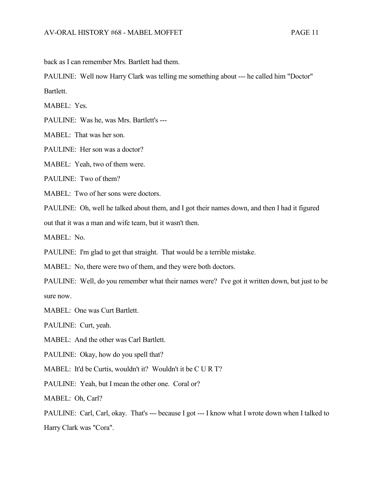back as I can remember Mrs. Bartlett had them.

PAULINE: Well now Harry Clark was telling me something about --- he called him "Doctor" Bartlett.

MABEL: Yes.

PAULINE: Was he, was Mrs. Bartlett's ---

MABEL: That was her son.

PAULINE: Her son was a doctor?

MABEL: Yeah, two of them were.

PAULINE: Two of them?

MABEL: Two of her sons were doctors.

PAULINE: Oh, well he talked about them, and I got their names down, and then I had it figured

out that it was a man and wife team, but it wasn't then.

MABEL: No.

PAULINE: I'm glad to get that straight. That would be a terrible mistake.

MABEL: No, there were two of them, and they were both doctors.

PAULINE: Well, do you remember what their names were? I've got it written down, but just to be sure now.

MABEL: One was Curt Bartlett.

PAULINE: Curt, yeah.

MABEL: And the other was Carl Bartlett.

PAULINE: Okay, how do you spell that?

MABEL: It'd be Curtis, wouldn't it? Wouldn't it be C U R T?

PAULINE: Yeah, but I mean the other one. Coral or?

MABEL: Oh, Carl?

PAULINE: Carl, Carl, okay. That's --- because I got --- I know what I wrote down when I talked to Harry Clark was "Cora".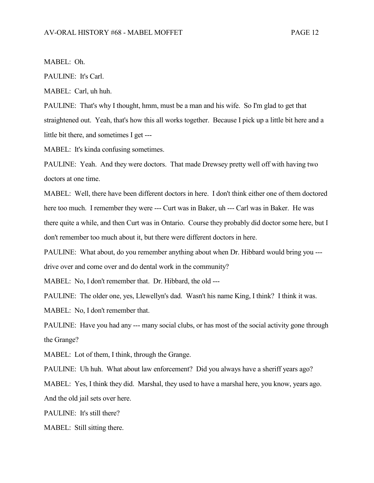MABEL: Oh.

PAULINE: It's Carl.

MABEL: Carl, uh huh.

PAULINE: That's why I thought, hmm, must be a man and his wife. So I'm glad to get that straightened out. Yeah, that's how this all works together. Because I pick up a little bit here and a little bit there, and sometimes I get ---

MABEL: It's kinda confusing sometimes.

PAULINE: Yeah. And they were doctors. That made Drewsey pretty well off with having two doctors at one time.

MABEL: Well, there have been different doctors in here. I don't think either one of them doctored here too much. I remember they were --- Curt was in Baker, uh --- Carl was in Baker. He was there quite a while, and then Curt was in Ontario. Course they probably did doctor some here, but I don't remember too much about it, but there were different doctors in here.

PAULINE: What about, do you remember anything about when Dr. Hibbard would bring you --drive over and come over and do dental work in the community?

MABEL: No, I don't remember that. Dr. Hibbard, the old ---

PAULINE: The older one, yes, Llewellyn's dad. Wasn't his name King, I think? I think it was. MABEL: No, I don't remember that.

PAULINE: Have you had any --- many social clubs, or has most of the social activity gone through the Grange?

MABEL: Lot of them, I think, through the Grange.

PAULINE: Uh huh. What about law enforcement? Did you always have a sheriff years ago?

MABEL: Yes, I think they did. Marshal, they used to have a marshal here, you know, years ago. And the old jail sets over here.

PAULINE: It's still there?

MABEL: Still sitting there.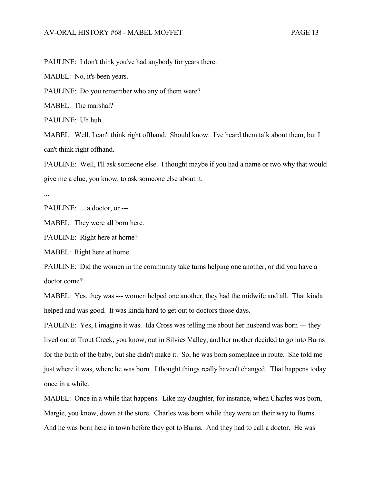PAULINE: I don't think you've had anybody for years there.

MABEL: No, it's been years.

PAULINE: Do you remember who any of them were?

MABEL: The marshal?

PAULINE: Uh huh.

MABEL: Well, I can't think right offhand. Should know. I've heard them talk about them, but I can't think right offhand.

PAULINE: Well, I'll ask someone else. I thought maybe if you had a name or two why that would give me a clue, you know, to ask someone else about it.

...

PAULINE: ... a doctor, or ---

MABEL: They were all born here.

PAULINE: Right here at home?

MABEL: Right here at home.

PAULINE: Did the women in the community take turns helping one another, or did you have a doctor come?

MABEL: Yes, they was --- women helped one another, they had the midwife and all. That kinda helped and was good. It was kinda hard to get out to doctors those days.

PAULINE: Yes, I imagine it was. Ida Cross was telling me about her husband was born --- they lived out at Trout Creek, you know, out in Silvies Valley, and her mother decided to go into Burns for the birth of the baby, but she didn't make it. So, he was born someplace in route. She told me just where it was, where he was born. I thought things really haven't changed. That happens today once in a while.

MABEL: Once in a while that happens. Like my daughter, for instance, when Charles was born, Margie, you know, down at the store. Charles was born while they were on their way to Burns. And he was born here in town before they got to Burns. And they had to call a doctor. He was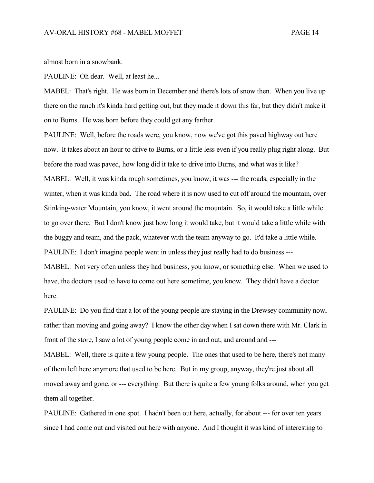almost born in a snowbank.

PAULINE: Oh dear. Well, at least he...

MABEL: That's right. He was born in December and there's lots of snow then. When you live up there on the ranch it's kinda hard getting out, but they made it down this far, but they didn't make it on to Burns. He was born before they could get any farther.

PAULINE: Well, before the roads were, you know, now we've got this paved highway out here now. It takes about an hour to drive to Burns, or a little less even if you really plug right along. But before the road was paved, how long did it take to drive into Burns, and what was it like? MABEL: Well, it was kinda rough sometimes, you know, it was --- the roads, especially in the winter, when it was kinda bad. The road where it is now used to cut off around the mountain, over Stinking-water Mountain, you know, it went around the mountain. So, it would take a little while to go over there. But I don't know just how long it would take, but it would take a little while with the buggy and team, and the pack, whatever with the team anyway to go. It'd take a little while. PAULINE: I don't imagine people went in unless they just really had to do business --- MABEL: Not very often unless they had business, you know, or something else. When we used to

have, the doctors used to have to come out here sometime, you know. They didn't have a doctor here.

PAULINE: Do you find that a lot of the young people are staying in the Drewsey community now, rather than moving and going away? I know the other day when I sat down there with Mr. Clark in front of the store, I saw a lot of young people come in and out, and around and ---

MABEL: Well, there is quite a few young people. The ones that used to be here, there's not many of them left here anymore that used to be here. But in my group, anyway, they're just about all moved away and gone, or --- everything. But there is quite a few young folks around, when you get them all together.

PAULINE: Gathered in one spot. I hadn't been out here, actually, for about --- for over ten years since I had come out and visited out here with anyone. And I thought it was kind of interesting to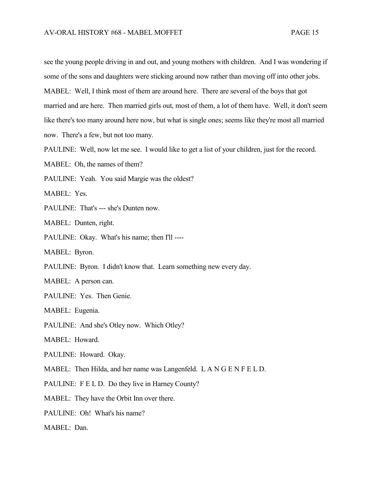see the young people driving in and out, and young mothers with children. And I was wondering if some of the sons and daughters were sticking around now rather than moving off into other jobs. MABEL: Well, I think most of them are around here. There are several of the boys that got married and are here. Then married girls out, most of them, a lot of them have. Well, it don't seem like there's too many around here now, but what is single ones; seems like they're most all married now. There's a few, but not too many.

PAULINE: Well, now let me see. I would like to get a list of your children, just for the record.

MABEL: Oh, the names of them?

PAULINE: Yeah. You said Margie was the oldest?

MABEL: Yes.

PAULINE: That's --- she's Dunten now.

MABEL: Dunten, right.

PAULINE: Okay. What's his name; then I'll ----

MABEL: Byron.

PAULINE: Byron. I didn't know that. Learn something new every day.

MABEL: A person can.

PAULINE: Yes. Then Genie.

MABEL: Eugenia.

PAULINE: And she's Otley now. Which Otley?

MABEL: Howard.

PAULINE: Howard. Okay.

MABEL: Then Hilda, and her name was Langenfeld. L A N G E N F E L D.

PAULINE: F E L D. Do they live in Harney County?

MABEL: They have the Orbit Inn over there.

PAULINE: Oh! What's his name?

MABEL: Dan.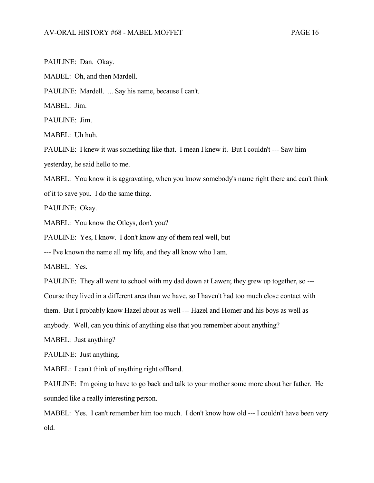PAULINE: Dan. Okay.

MABEL: Oh, and then Mardell.

PAULINE: Mardell. ... Say his name, because I can't.

MABEL: Jim.

PAULINE: Jim.

MABEL: Uh huh.

PAULINE: I knew it was something like that. I mean I knew it. But I couldn't --- Saw him yesterday, he said hello to me.

MABEL: You know it is aggravating, when you know somebody's name right there and can't think

of it to save you. I do the same thing.

PAULINE: Okay.

MABEL: You know the Otleys, don't you?

PAULINE: Yes, I know. I don't know any of them real well, but

--- I've known the name all my life, and they all know who I am.

MABEL: Yes.

PAULINE: They all went to school with my dad down at Lawen; they grew up together, so ---

Course they lived in a different area than we have, so I haven't had too much close contact with

them. But I probably know Hazel about as well --- Hazel and Homer and his boys as well as

anybody. Well, can you think of anything else that you remember about anything?

MABEL: Just anything?

PAULINE: Just anything.

MABEL: I can't think of anything right offhand.

PAULINE: I'm going to have to go back and talk to your mother some more about her father. He sounded like a really interesting person.

MABEL: Yes. I can't remember him too much. I don't know how old --- I couldn't have been very old.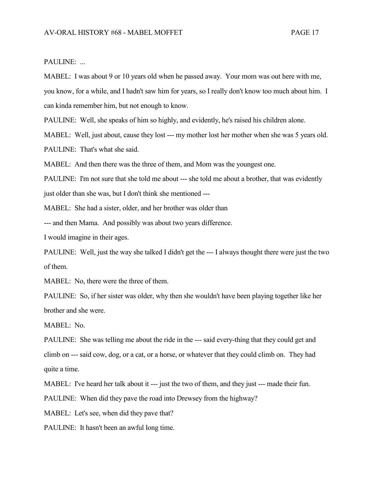## PAULINE: ...

MABEL: I was about 9 or 10 years old when he passed away. Your mom was out here with me, you know, for a while, and I hadn't saw him for years, so I really don't know too much about him. I can kinda remember him, but not enough to know.

PAULINE: Well, she speaks of him so highly, and evidently, he's raised his children alone.

MABEL: Well, just about, cause they lost --- my mother lost her mother when she was 5 years old. PAULINE: That's what she said.

MABEL: And then there was the three of them, and Mom was the youngest one.

PAULINE: I'm not sure that she told me about --- she told me about a brother, that was evidently just older than she was, but I don't think she mentioned ---

MABEL: She had a sister, older, and her brother was older than

--- and then Mama. And possibly was about two years difference.

I would imagine in their ages.

PAULINE: Well, just the way she talked I didn't get the --- I always thought there were just the two of them.

MABEL: No, there were the three of them.

PAULINE: So, if her sister was older, why then she wouldn't have been playing together like her brother and she were.

MABEL: No.

PAULINE: She was telling me about the ride in the --- said every-thing that they could get and climb on --- said cow, dog, or a cat, or a horse, or whatever that they could climb on. They had quite a time.

MABEL: I've heard her talk about it --- just the two of them, and they just --- made their fun.

PAULINE: When did they pave the road into Drewsey from the highway?

MABEL: Let's see, when did they pave that?

PAULINE: It hasn't been an awful long time.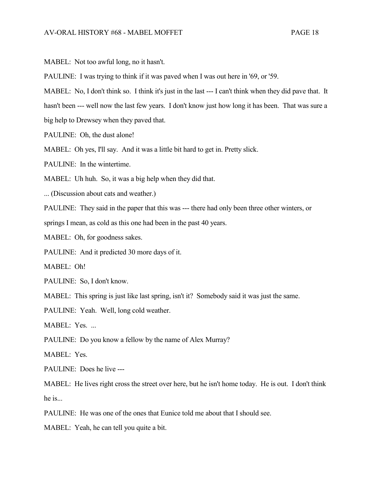MABEL: Not too awful long, no it hasn't.

PAULINE: I was trying to think if it was paved when I was out here in '69, or '59.

MABEL: No, I don't think so. I think it's just in the last --- I can't think when they did pave that. It

hasn't been --- well now the last few years. I don't know just how long it has been. That was sure a

big help to Drewsey when they paved that.

PAULINE: Oh, the dust alone!

MABEL: Oh yes, I'll say. And it was a little bit hard to get in. Pretty slick.

PAULINE: In the wintertime.

MABEL: Uh huh. So, it was a big help when they did that.

... (Discussion about cats and weather.)

PAULINE: They said in the paper that this was --- there had only been three other winters, or

springs I mean, as cold as this one had been in the past 40 years.

MABEL: Oh, for goodness sakes.

PAULINE: And it predicted 30 more days of it.

MABEL: Oh!

PAULINE: So, I don't know.

MABEL: This spring is just like last spring, isn't it? Somebody said it was just the same.

PAULINE: Yeah. Well, long cold weather.

MABEL: Yes. ...

PAULINE: Do you know a fellow by the name of Alex Murray?

MABEL: Yes.

PAULINE: Does he live ---

MABEL: He lives right cross the street over here, but he isn't home today. He is out. I don't think he is...

PAULINE: He was one of the ones that Eunice told me about that I should see.

MABEL: Yeah, he can tell you quite a bit.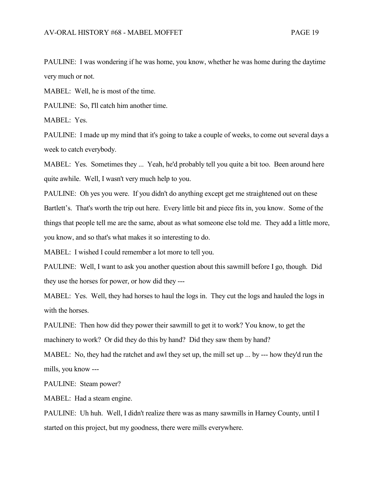PAULINE: I was wondering if he was home, you know, whether he was home during the daytime very much or not.

MABEL: Well, he is most of the time.

PAULINE: So, I'll catch him another time.

MABEL: Yes.

PAULINE: I made up my mind that it's going to take a couple of weeks, to come out several days a week to catch everybody.

MABEL: Yes. Sometimes they ... Yeah, he'd probably tell you quite a bit too. Been around here quite awhile. Well, I wasn't very much help to you.

PAULINE: Oh yes you were. If you didn't do anything except get me straightened out on these Bartlett's. That's worth the trip out here. Every little bit and piece fits in, you know. Some of the things that people tell me are the same, about as what someone else told me. They add a little more, you know, and so that's what makes it so interesting to do.

MABEL: I wished I could remember a lot more to tell you.

PAULINE: Well, I want to ask you another question about this sawmill before I go, though. Did they use the horses for power, or how did they ---

MABEL: Yes. Well, they had horses to haul the logs in. They cut the logs and hauled the logs in with the horses.

PAULINE: Then how did they power their sawmill to get it to work? You know, to get the machinery to work? Or did they do this by hand? Did they saw them by hand?

MABEL: No, they had the ratchet and awl they set up, the mill set up ... by --- how they'd run the mills, you know ---

PAULINE: Steam power?

MABEL: Had a steam engine.

PAULINE: Uh huh. Well, I didn't realize there was as many sawmills in Harney County, until I started on this project, but my goodness, there were mills everywhere.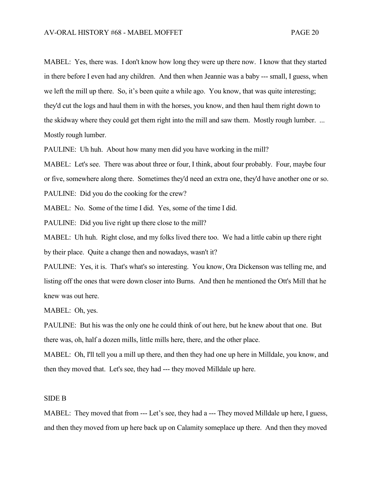MABEL: Yes, there was. I don't know how long they were up there now. I know that they started in there before I even had any children. And then when Jeannie was a baby --- small, I guess, when we left the mill up there. So, it's been quite a while ago. You know, that was quite interesting; they'd cut the logs and haul them in with the horses, you know, and then haul them right down to the skidway where they could get them right into the mill and saw them. Mostly rough lumber. ... Mostly rough lumber.

PAULINE: Uh huh. About how many men did you have working in the mill?

MABEL: Let's see. There was about three or four, I think, about four probably. Four, maybe four or five, somewhere along there. Sometimes they'd need an extra one, they'd have another one or so. PAULINE: Did you do the cooking for the crew?

MABEL: No. Some of the time I did. Yes, some of the time I did.

PAULINE: Did you live right up there close to the mill?

MABEL: Uh huh. Right close, and my folks lived there too. We had a little cabin up there right by their place. Quite a change then and nowadays, wasn't it?

PAULINE: Yes, it is. That's what's so interesting. You know, Ora Dickenson was telling me, and listing off the ones that were down closer into Burns. And then he mentioned the Ott's Mill that he knew was out here.

MABEL: Oh, yes.

PAULINE: But his was the only one he could think of out here, but he knew about that one. But there was, oh, half a dozen mills, little mills here, there, and the other place.

MABEL: Oh, I'll tell you a mill up there, and then they had one up here in Milldale, you know, and then they moved that. Let's see, they had --- they moved Milldale up here.

## SIDE B

MABEL: They moved that from --- Let's see, they had a --- They moved Milldale up here, I guess, and then they moved from up here back up on Calamity someplace up there. And then they moved